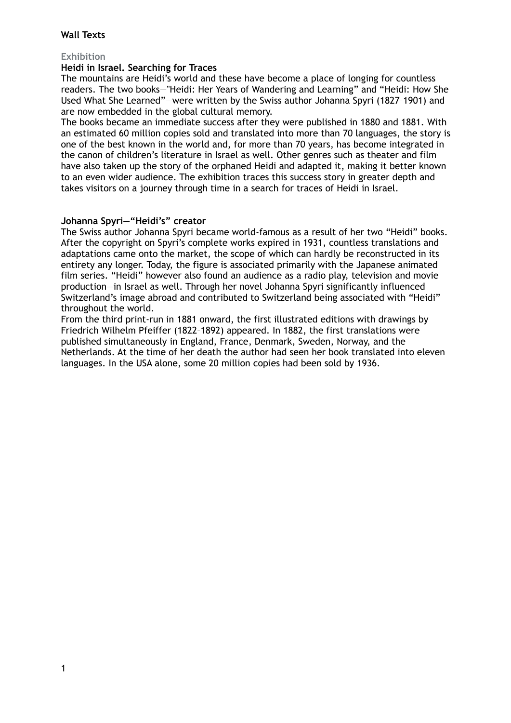# **Wall Texts**

# **Exhibition**

### **Heidi in Israel. Searching for Traces**

The mountains are Heidi's world and these have become a place of longing for countless readers. The two books—"Heidi: Her Years of Wandering and Learning" and "Heidi: How She Used What She Learned"—were written by the Swiss author Johanna Spyri (1827–1901) and are now embedded in the global cultural memory.

The books became an immediate success after they were published in 1880 and 1881. With an estimated 60 million copies sold and translated into more than 70 languages, the story is one of the best known in the world and, for more than 70 years, has become integrated in the canon of children's literature in Israel as well. Other genres such as theater and film have also taken up the story of the orphaned Heidi and adapted it, making it better known to an even wider audience. The exhibition traces this success story in greater depth and takes visitors on a journey through time in a search for traces of Heidi in Israel.

#### **Johanna Spyri—"Heidi's" creator**

The Swiss author Johanna Spyri became world-famous as a result of her two "Heidi" books. After the copyright on Spyri's complete works expired in 1931, countless translations and adaptations came onto the market, the scope of which can hardly be reconstructed in its entirety any longer. Today, the figure is associated primarily with the Japanese animated film series. "Heidi" however also found an audience as a radio play, television and movie production—in Israel as well. Through her novel Johanna Spyri significantly influenced Switzerland's image abroad and contributed to Switzerland being associated with "Heidi" throughout the world.

From the third print-run in 1881 onward, the first illustrated editions with drawings by Friedrich Wilhelm Pfeiffer (1822–1892) appeared. In 1882, the first translations were published simultaneously in England, France, Denmark, Sweden, Norway, and the Netherlands. At the time of her death the author had seen her book translated into eleven languages. In the USA alone, some 20 million copies had been sold by 1936.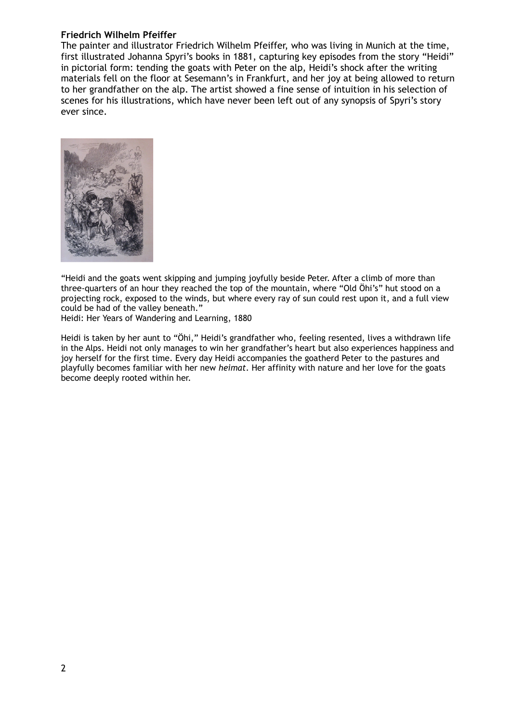#### **Friedrich Wilhelm Pfeiffer**

The painter and illustrator Friedrich Wilhelm Pfeiffer, who was living in Munich at the time, first illustrated Johanna Spyri's books in 1881, capturing key episodes from the story "Heidi" in pictorial form: tending the goats with Peter on the alp, Heidi's shock after the writing materials fell on the floor at Sesemann's in Frankfurt, and her joy at being allowed to return to her grandfather on the alp. The artist showed a fine sense of intuition in his selection of scenes for his illustrations, which have never been left out of any synopsis of Spyri's story ever since.



"Heidi and the goats went skipping and jumping joyfully beside Peter. After a climb of more than three-quarters of an hour they reached the top of the mountain, where "Old Öhi's" hut stood on a projecting rock, exposed to the winds, but where every ray of sun could rest upon it, and a full view could be had of the valley beneath."

Heidi: Her Years of Wandering and Learning, 1880

Heidi is taken by her aunt to "Öhi," Heidi's grandfather who, feeling resented, lives a withdrawn life in the Alps. Heidi not only manages to win her grandfather's heart but also experiences happiness and joy herself for the first time. Every day Heidi accompanies the goatherd Peter to the pastures and playfully becomes familiar with her new *heimat*. Her affinity with nature and her love for the goats become deeply rooted within her.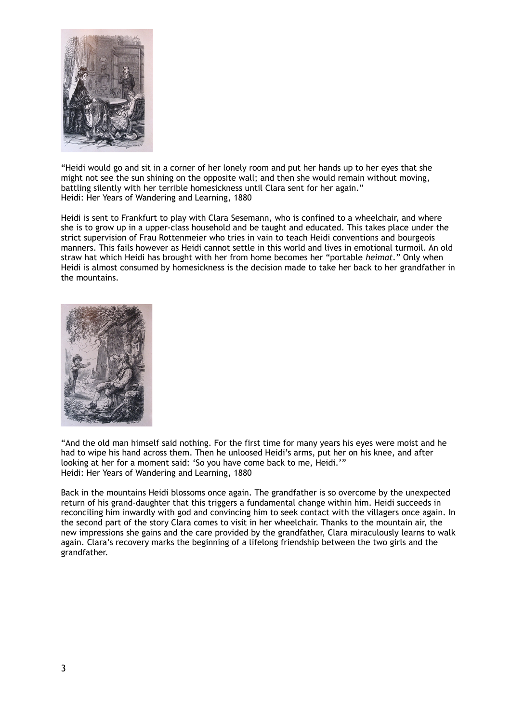

"Heidi would go and sit in a corner of her lonely room and put her hands up to her eyes that she might not see the sun shining on the opposite wall; and then she would remain without moving, battling silently with her terrible homesickness until Clara sent for her again." Heidi: Her Years of Wandering and Learning, 1880

Heidi is sent to Frankfurt to play with Clara Sesemann, who is confined to a wheelchair, and where she is to grow up in a upper-class household and be taught and educated. This takes place under the strict supervision of Frau Rottenmeier who tries in vain to teach Heidi conventions and bourgeois manners. This fails however as Heidi cannot settle in this world and lives in emotional turmoil. An old straw hat which Heidi has brought with her from home becomes her "portable *heimat*." Only when Heidi is almost consumed by homesickness is the decision made to take her back to her grandfather in the mountains.



"And the old man himself said nothing. For the first time for many years his eyes were moist and he had to wipe his hand across them. Then he unloosed Heidi's arms, put her on his knee, and after looking at her for a moment said: 'So you have come back to me, Heidi.'" Heidi: Her Years of Wandering and Learning, 1880

Back in the mountains Heidi blossoms once again. The grandfather is so overcome by the unexpected return of his grand-daughter that this triggers a fundamental change within him. Heidi succeeds in reconciling him inwardly with god and convincing him to seek contact with the villagers once again. In the second part of the story Clara comes to visit in her wheelchair. Thanks to the mountain air, the new impressions she gains and the care provided by the grandfather, Clara miraculously learns to walk again. Clara's recovery marks the beginning of a lifelong friendship between the two girls and the grandfather.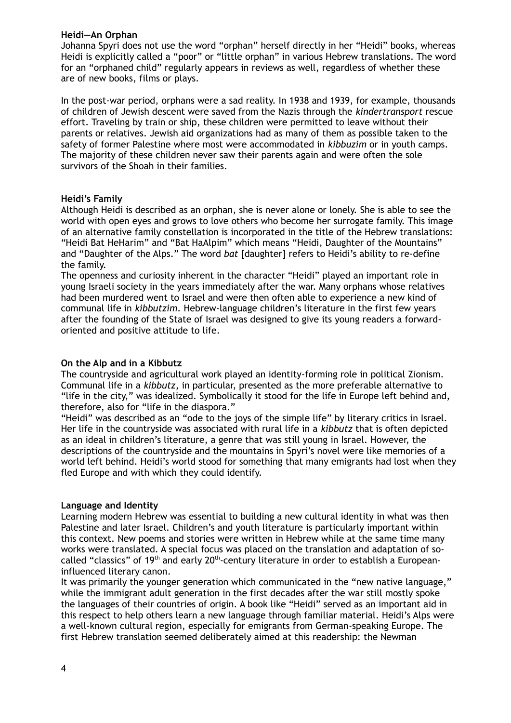#### **Heidi—An Orphan**

Johanna Spyri does not use the word "orphan" herself directly in her "Heidi" books, whereas Heidi is explicitly called a "poor" or "little orphan" in various Hebrew translations. The word for an "orphaned child" regularly appears in reviews as well, regardless of whether these are of new books, films or plays.

In the post-war period, orphans were a sad reality. In 1938 and 1939, for example, thousands of children of Jewish descent were saved from the Nazis through the *kindertransport* rescue effort. Traveling by train or ship, these children were permitted to leave without their parents or relatives. Jewish aid organizations had as many of them as possible taken to the safety of former Palestine where most were accommodated in *kibbuzim* or in youth camps. The majority of these children never saw their parents again and were often the sole survivors of the Shoah in their families.

## **Heidi's Family**

Although Heidi is described as an orphan, she is never alone or lonely. She is able to see the world with open eyes and grows to love others who become her surrogate family. This image of an alternative family constellation is incorporated in the title of the Hebrew translations: "Heidi Bat HeHarim" and "Bat HaAlpim" which means "Heidi, Daughter of the Mountains" and "Daughter of the Alps." The word *bat* [daughter] refers to Heidi's ability to re-define the family.

The openness and curiosity inherent in the character "Heidi" played an important role in young Israeli society in the years immediately after the war. Many orphans whose relatives had been murdered went to Israel and were then often able to experience a new kind of communal life in *kibbutzim*. Hebrew-language children's literature in the first few years after the founding of the State of Israel was designed to give its young readers a forwardoriented and positive attitude to life.

## **On the Alp and in a Kibbutz**

The countryside and agricultural work played an identity-forming role in political Zionism. Communal life in a *kibbutz*, in particular, presented as the more preferable alternative to "life in the city," was idealized. Symbolically it stood for the life in Europe left behind and, therefore, also for "life in the diaspora."

"Heidi" was described as an "ode to the joys of the simple life" by literary critics in Israel. Her life in the countryside was associated with rural life in a *kibbutz* that is often depicted as an ideal in children's literature, a genre that was still young in Israel. However, the descriptions of the countryside and the mountains in Spyri's novel were like memories of a world left behind. Heidi's world stood for something that many emigrants had lost when they fled Europe and with which they could identify.

## **Language and Identity**

Learning modern Hebrew was essential to building a new cultural identity in what was then Palestine and later Israel. Children's and youth literature is particularly important within this context. New poems and stories were written in Hebrew while at the same time many works were translated. A special focus was placed on the translation and adaptation of socalled "classics" of  $19<sup>th</sup>$  and early  $20<sup>th</sup>$ -century literature in order to establish a Europeaninfluenced literary canon.

It was primarily the younger generation which communicated in the "new native language," while the immigrant adult generation in the first decades after the war still mostly spoke the languages of their countries of origin. A book like "Heidi" served as an important aid in this respect to help others learn a new language through familiar material. Heidi's Alps were a well-known cultural region, especially for emigrants from German-speaking Europe. The first Hebrew translation seemed deliberately aimed at this readership: the Newman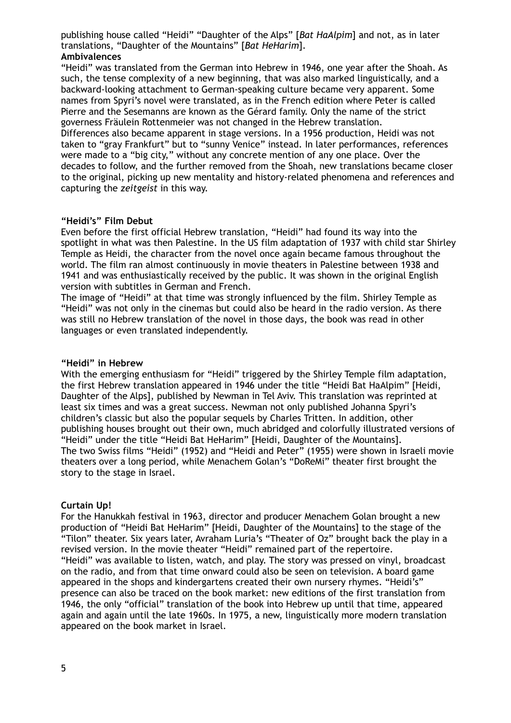publishing house called "Heidi" "Daughter of the Alps" [*Bat HaAlpim*] and not, as in later translations, "Daughter of the Mountains" [*Bat HeHarim*]. **Ambivalences**

"Heidi" was translated from the German into Hebrew in 1946, one year after the Shoah. As such, the tense complexity of a new beginning, that was also marked linguistically, and a backward-looking attachment to German-speaking culture became very apparent. Some names from Spyri's novel were translated, as in the French edition where Peter is called Pierre and the Sesemanns are known as the Gérard family. Only the name of the strict governess Fräulein Rottenmeier was not changed in the Hebrew translation.

Differences also became apparent in stage versions. In a 1956 production, Heidi was not taken to "gray Frankfurt" but to "sunny Venice" instead. In later performances, references were made to a "big city," without any concrete mention of any one place. Over the decades to follow, and the further removed from the Shoah, new translations became closer to the original, picking up new mentality and history-related phenomena and references and capturing the *zeitgeist* in this way.

## **"Heidi's" Film Debut**

Even before the first official Hebrew translation, "Heidi" had found its way into the spotlight in what was then Palestine. In the US film adaptation of 1937 with child star Shirley Temple as Heidi, the character from the novel once again became famous throughout the world. The film ran almost continuously in movie theaters in Palestine between 1938 and 1941 and was enthusiastically received by the public. It was shown in the original English version with subtitles in German and French.

The image of "Heidi" at that time was strongly influenced by the film. Shirley Temple as "Heidi" was not only in the cinemas but could also be heard in the radio version. As there was still no Hebrew translation of the novel in those days, the book was read in other languages or even translated independently.

#### **"Heidi" in Hebrew**

With the emerging enthusiasm for "Heidi" triggered by the Shirley Temple film adaptation, the first Hebrew translation appeared in 1946 under the title "Heidi Bat HaAlpim" [Heidi, Daughter of the Alps], published by Newman in Tel Aviv. This translation was reprinted at least six times and was a great success. Newman not only published Johanna Spyri's children's classic but also the popular sequels by Charles Tritten. In addition, other publishing houses brought out their own, much abridged and colorfully illustrated versions of "Heidi" under the title "Heidi Bat HeHarim" [Heidi, Daughter of the Mountains]. The two Swiss films "Heidi" (1952) and "Heidi and Peter" (1955) were shown in Israeli movie theaters over a long period, while Menachem Golan's "DoReMi" theater first brought the story to the stage in Israel.

## **Curtain Up!**

For the Hanukkah festival in 1963, director and producer Menachem Golan brought a new production of "Heidi Bat HeHarim" [Heidi, Daughter of the Mountains] to the stage of the "Tilon" theater. Six years later, Avraham Luria's "Theater of Oz" brought back the play in a revised version. In the movie theater "Heidi" remained part of the repertoire. "Heidi" was available to listen, watch, and play. The story was pressed on vinyl, broadcast on the radio, and from that time onward could also be seen on television. A board game appeared in the shops and kindergartens created their own nursery rhymes. "Heidi's" presence can also be traced on the book market: new editions of the first translation from 1946, the only "official" translation of the book into Hebrew up until that time, appeared again and again until the late 1960s. In 1975, a new, linguistically more modern translation appeared on the book market in Israel.